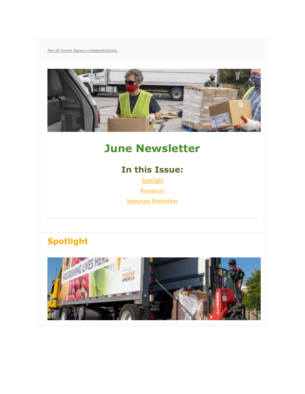*[See all recent Agency communications.](http://cafbtx.convio.net/site/R?i=680zvxO-XPa_XTy2d5eSOPA9blwPqwHpmwtV0OfHGdZbP8PoNaS4cA)*



# **June Newsletter**

# **In this Issue:**

[Spotlight](#page-0-0) **[Resources](#page-1-0)** [Important Reminders](#page-3-0)

# <span id="page-0-0"></span>**Spotlight**

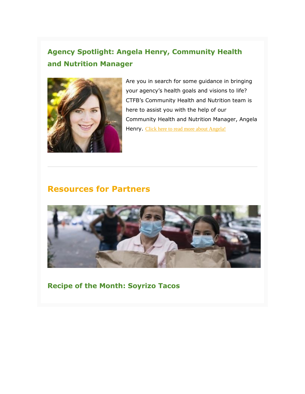# **Agency Spotlight: Angela Henry, Community Health and Nutrition Manager**



Are you in search for some guidance in bringing your agency's health goals and visions to life? CTFB's Community Health and Nutrition team is here to assist you with the help of our Community Health and Nutrition Manager, Angela Henry. [Click here to read more about Angela!](http://cafbtx.convio.net/site/R?i=aJLk9i6AMFSMOmUDDMhamXD0WuQX4zAUm-z5hZQr1fckGstxz7S4Dg)

## <span id="page-1-0"></span>**Resources for Partners**



**Recipe of the Month: Soyrizo Tacos**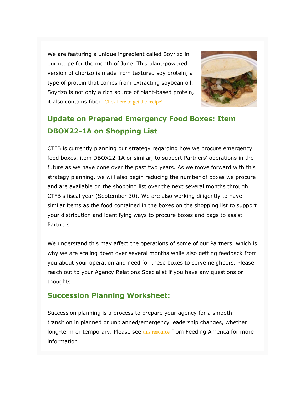We are featuring a unique ingredient called Soyrizo in our recipe for the month of June. This plant-powered version of chorizo is made from textured soy protein, a type of protein that comes from extracting soybean oil. Soyrizo is not only a rich source of plant-based protein, it also contains fiber. [Click here to get the recipe!](http://cafbtx.convio.net/site/R?i=LR35QLQUdwiYC8mGyQeAg-T-HkwofM6XvUI60gwFsy1e-A7ZehCmfQ)



# **Update on Prepared Emergency Food Boxes: Item DBOX22-1A on Shopping List**

CTFB is currently planning our strategy regarding how we procure emergency food boxes, item DBOX22-1A or similar, to support Partners' operations in the future as we have done over the past two years. As we move forward with this strategy planning, we will also begin reducing the number of boxes we procure and are available on the shopping list over the next several months through CTFB's fiscal year (September 30). We are also working diligently to have similar items as the food contained in the boxes on the shopping list to support your distribution and identifying ways to procure boxes and bags to assist Partners.

We understand this may affect the operations of some of our Partners, which is why we are scaling down over several months while also getting feedback from you about your operation and need for these boxes to serve neighbors. Please reach out to your Agency Relations Specialist if you have any questions or thoughts.

### **Succession Planning Worksheet:**

Succession planning is a process to prepare your agency for a smooth transition in planned or unplanned/emergency leadership changes, whether long-term or temporary. Please see [this resource](http://cafbtx.convio.net/site/R?i=twUs_apIv-T084TJK9dq1tNdNDGg-3FUzcMAeAhbWM0T2CApJFU5ww) from Feeding America for more information.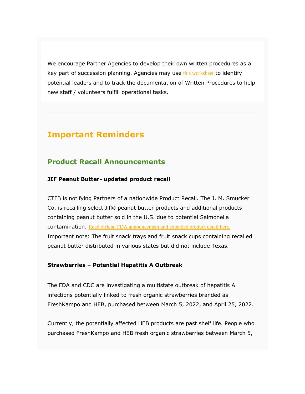We encourage Partner Agencies to develop their own written procedures as a key part of succession planning. Agencies may use [this worksheet](http://cafbtx.convio.net/site/R?i=UvkCZSoHX-lmAQmzQ3ukx5jOTSNCigrCJZVwvyw-moVEVY0P_I1ZHQ) to identify potential leaders and to track the documentation of Written Procedures to help new staff / volunteers fulfill operational tasks.

## <span id="page-3-0"></span>**Important Reminders**

### **Product Recall Announcements**

#### **JIF Peanut Butter- updated product recall**

CTFB is notifying Partners of a nationwide Product Recall. The J. M. Smucker Co. is recalling select Jif® peanut butter products and additional products containing peanut butter sold in the U.S. due to potential Salmonella contamination. [Read official FDA announcement and extended product detail here.](http://cafbtx.convio.net/site/R?i=t1bMth9IJOBzJcLPAeXUvSTTc6viBQR7oLvq2zHzFJIbiWfvp9dLpQ)  Important note: The fruit snack trays and fruit snack cups containing recalled peanut butter distributed in various states but did not include Texas.

#### **Strawberries – Potential Hepatitis A Outbreak**

The FDA and CDC are investigating a multistate outbreak of hepatitis A infections potentially linked to fresh organic strawberries branded as FreshKampo and HEB, purchased between March 5, 2022, and April 25, 2022.

Currently, the potentially affected HEB products are past shelf life. People who purchased FreshKampo and HEB fresh organic strawberries between March 5,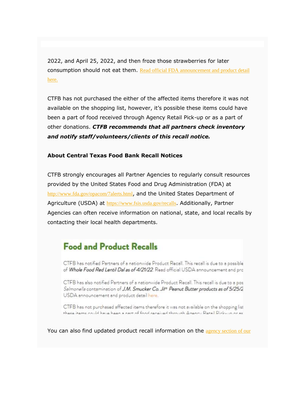2022, and April 25, 2022, and then froze those strawberries for later consumption should not eat them. Read official FDA announcement and product detail [here.](http://cafbtx.convio.net/site/R?i=1OoM6eKpsffoDAoFslTOUJgb2rYYxeDBoUJdnCSwJc4YW7NfCz9gDA)

CTFB has not purchased the either of the affected items therefore it was not available on the shopping list, however, it's possible these items could have been a part of food received through Agency Retail Pick-up or as a part of other donations. *CTFB recommends that all partners check inventory and notify staff/volunteers/clients of this recall notice.*

#### **About Central Texas Food Bank Recall Notices**

CTFB strongly encourages all Partner Agencies to regularly consult resources provided by the United States Food and Drug Administration (FDA) at [http://www.fda.gov/opacom/7alerts.html](http://cafbtx.convio.net/site/R?i=lFeDAMLgiU7zK5RyMKGxbDIhJ7cVj3BhdXPVq7UNe2kJQjDvoSigzg), and the United States Department of Agriculture (USDA) at [https://www.fsis.usda.gov/recalls](http://cafbtx.convio.net/site/R?i=S9gRz_YzqEWr2VohzxR4D3w_p_jZWCN017rRUeyKN8r9LGr-8JC4cw). Additionally, Partner Agencies can often receive information on national, state, and local recalls by contacting their local health departments.

# **Food and Product Recalls**

CTFB has notified Partners of a nationwide Product Recall. This recall is due to a possible of Whole Food Red Lentil Dal as of 4/21/22. Read official USDA announcement and pro

CTFB has also notified Partners of a nationwide Product Recall. This recall is due to a pos Salmonella contamination of J.M. Smucker Co. Jil<sup>®</sup> Peanut Butter products as of 5/25/2 USDA announcement and product detail here.

CTFB has not purchased affected items therefore it was not available on the shopping list these items could have hear a nast of food received through Agency Retail Dick-up or as

You can also find updated product recall information on the agency section of our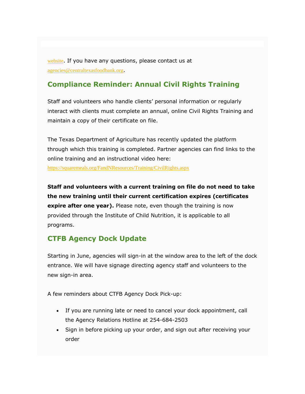[website](http://cafbtx.convio.net/site/R?i=6aDXx512wkFoPb2eZ8TNEQwVuBhc_FUCpAY83yKk7iPYAUg0VZLl8w). If you have any questions, please contact us at [agencies@centraltexasfoodbank.org](mailto:agencies@centraltexasfoodbank.org).

## **Compliance Reminder: Annual Civil Rights Training**

Staff and volunteers who handle clients' personal information or regularly interact with clients must complete an annual, online Civil Rights Training and maintain a copy of their certificate on file.

The Texas Department of Agriculture has recently updated the platform through which this training is completed. Partner agencies can find links to the online training and an instructional video here:

[https://squaremeals.org/FandNResources/Training/CivilRights.aspx](http://cafbtx.convio.net/site/R?i=65ie07ZJHunFjjKb7mf_4XrYkz2Tnsv1_o4mRSpQyGWIQfgWu8_1ng)

**Staff and volunteers with a current training on file do not need to take the new training until their current certification expires (certificates expire after one year).** Please note, even though the training is now provided through the Institute of Child Nutrition, it is applicable to all programs.

## **CTFB Agency Dock Update**

Starting in June, agencies will sign-in at the window area to the left of the dock entrance. We will have signage directing agency staff and volunteers to the new sign-in area.

A few reminders about CTFB Agency Dock Pick-up:

- If you are running late or need to cancel your dock appointment, call the Agency Relations Hotline at 254-684-2503
- Sign in before picking up your order, and sign out after receiving your order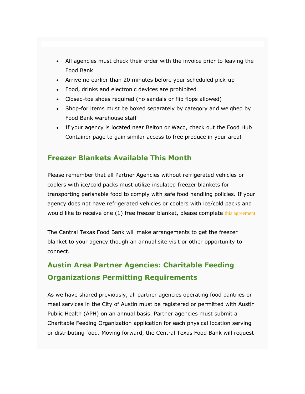- All agencies must check their order with the invoice prior to leaving the Food Bank
- Arrive no earlier than 20 minutes before your scheduled pick-up
- Food, drinks and electronic devices are prohibited
- Closed-toe shoes required (no sandals or flip flops allowed)
- Shop-for items must be boxed separately by category and weighed by Food Bank warehouse staff
- If your agency is located near Belton or Waco, check out the Food Hub Container page to gain similar access to free produce in your area!

## **Freezer Blankets Available This Month**

Please remember that all Partner Agencies without refrigerated vehicles or coolers with ice/cold packs must utilize insulated freezer blankets for transporting perishable food to comply with safe food handling policies. If your agency does not have refrigerated vehicles or coolers with ice/cold packs and would like to receive one (1) free freezer blanket, please complete [this agreement.](http://cafbtx.convio.net/site/R?i=IM8a50dISF9Vtj6JaWU3GbGqzCcCUvGkLwGV3WSdw8kx25XtADU9Yw)

The Central Texas Food Bank will make arrangements to get the freezer blanket to your agency though an annual site visit or other opportunity to connect.

# **Austin Area Partner Agencies: Charitable Feeding Organizations Permitting Requirements**

As we have shared previously, all partner agencies operating food pantries or meal services in the City of Austin must be registered or permitted with Austin Public Health (APH) on an annual basis. Partner agencies must submit a Charitable Feeding Organization application for each physical location serving or distributing food. Moving forward, the Central Texas Food Bank will request